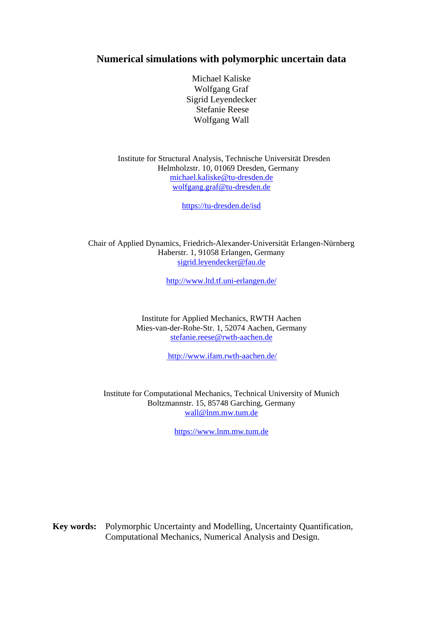## **Numerical simulations with polymorphic uncertain data**

Michael Kaliske Wolfgang Graf Sigrid Leyendecker Stefanie Reese Wolfgang Wall

 Institute for Structural Analysis, Technische Universität Dresden Helmholzstr. 10, 01069 Dresden, Germany michael.kaliske@tu-dresden.de wolfgang.graf@tu-dresden.de

https://tu-dresden.de/isd

Chair of Applied Dynamics, Friedrich-Alexander-Universität Erlangen-Nürnberg Haberstr. 1, 91058 Erlangen, Germany sigrid.leyendecker@fau.de

http://www.ltd.tf.uni-erlangen.de/

Institute for Applied Mechanics, RWTH Aachen Mies-van-der-Rohe-Str. 1, 52074 Aachen, Germany stefanie.reese@rwth-aachen.de

http://www.ifam.rwth-aachen.de/

Institute for Computational Mechanics, Technical University of Munich Boltzmannstr. 15, 85748 Garching, Germany wall@lnm.mw.tum.de

https://www.lnm.mw.tum.de

**Key words:** Polymorphic Uncertainty and Modelling, Uncertainty Quantification, Computational Mechanics, Numerical Analysis and Design.